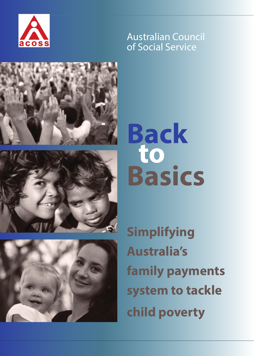

# Australian Council of Social Service

**Back**









**Simplifying Australia's family payments system to tackle child poverty**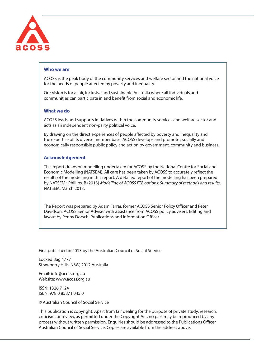

## **Who we are**

ACOSS is the peak body of the community services and welfare sector and the national voice for the needs of people affected by poverty and inequality.

Our vision is for a fair, inclusive and sustainable Australia where all individuals and communities can participate in and benefit from social and economic life.

#### **What we do**

ACOSS leads and supports initiatives within the community services and welfare sector and acts as an independent non-party political voice.

By drawing on the direct experiences of people affected by poverty and inequality and the expertise of its diverse member base, ACOSS develops and promotes socially and economically responsible public policy and action by government, community and business.

#### **Acknowledgement**

This report draws on modelling undertaken for ACOSS by the National Centre for Social and Economic Modelling (NATSEM). All care has been taken by ACOSS to accurately reflect the results of the modelling in this report. A detailed report of the modelling has been prepared by NATSEM : Phillips, B (2013) *Modelling of ACOSS FTB options: Summary of methods and results*. NATSEM, March 2013.

The Report was prepared by Adam Farrar, former ACOSS Senior Policy Officer and Peter Davidson, ACOSS Senior Adviser with assistance from ACOSS policy advisers. Editing and layout by Penny Dorsch, Publications and Information Officer.

First published in 2013 by the Australian Council of Social Service

Locked Bag 4777 Strawberry Hills, NSW, 2012 Australia

Email: info@acoss.org.au Website: www.acoss.org.au

ISSN: 1326 7124 ISBN: 978 0 85871 045 0

© Australian Council of Social Service

This publication is copyright. Apart from fair dealing for the purpose of private study, research, criticism, or review, as permitted under the Copyright Act, no part may be reproduced by any process without written permission. Enquiries should be addressed to the Publications Officer, Australian Council of Social Service. Copies are available from the address above.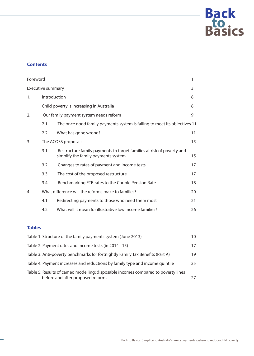

# **Contents**

| Foreword                                                                         |                                        |                                                                                                              | 1  |  |  |  |
|----------------------------------------------------------------------------------|----------------------------------------|--------------------------------------------------------------------------------------------------------------|----|--|--|--|
|                                                                                  | Executive summary                      |                                                                                                              | 3  |  |  |  |
| 1.                                                                               | Introduction                           |                                                                                                              | 8  |  |  |  |
|                                                                                  |                                        | Child poverty is increasing in Australia                                                                     | 8  |  |  |  |
| 2.                                                                               | Our family payment system needs reform |                                                                                                              |    |  |  |  |
| The once good family payments system is failing to meet its objectives 11<br>2.1 |                                        |                                                                                                              |    |  |  |  |
|                                                                                  | 2.2                                    | What has gone wrong?                                                                                         | 11 |  |  |  |
| 3.                                                                               |                                        | The ACOSS proposals                                                                                          | 15 |  |  |  |
|                                                                                  | 3.1                                    | Restructure family payments to target families at risk of poverty and<br>simplify the family payments system | 15 |  |  |  |
|                                                                                  | 3.2                                    | Changes to rates of payment and income tests                                                                 | 17 |  |  |  |
|                                                                                  | 3.3                                    | The cost of the proposed restructure                                                                         | 17 |  |  |  |
|                                                                                  | 3.4                                    | Benchmarking FTB rates to the Couple Pension Rate                                                            | 18 |  |  |  |
| 4.                                                                               |                                        | What difference will the reforms make to families?                                                           | 20 |  |  |  |
|                                                                                  | 4.1                                    | Redirecting payments to those who need them most                                                             | 21 |  |  |  |
|                                                                                  | 4.2                                    | What will it mean for illustrative low income families?                                                      | 26 |  |  |  |

# **Tables**

| Table 1: Structure of the family payments system (June 2013)                                                           | 10 |
|------------------------------------------------------------------------------------------------------------------------|----|
| Table 2: Payment rates and income tests (in 2014 - 15)                                                                 | 17 |
| Table 3: Anti-poverty benchmarks for fortnightly Family Tax Benefits (Part A)                                          | 19 |
| Table 4: Payment increases and reductions by family type and income quintile                                           | 25 |
| Table 5: Results of cameo modelling: disposable incomes compared to poverty lines<br>before and after proposed reforms | 27 |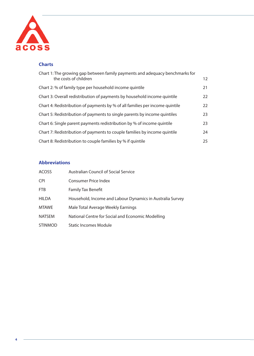

# **Charts**

| Chart 1: The growing gap between family payments and adequacy benchmarks for<br>the costs of children | 12 |
|-------------------------------------------------------------------------------------------------------|----|
| Chart 2: % of family type per household income quintile                                               | 21 |
| Chart 3: Overall redistribution of payments by household income quintile                              | 22 |
| Chart 4: Redistribution of payments by % of all families per income quintile                          | 22 |
| Chart 5: Redistribution of payments to single parents by income quintiles                             | 23 |
| Chart 6: Single parent payments redistribution by % of income quintile                                | 23 |
| Chart 7: Redistribution of payments to couple families by income quintile                             | 24 |
| Chart 8: Redistribution to couple families by % if quintile                                           | 25 |

# **Abbreviations**

| <b>ACOSS</b>   | <b>Australian Council of Social Service</b>               |
|----------------|-----------------------------------------------------------|
| <b>CPI</b>     | Consumer Price Index                                      |
| <b>FTB</b>     | <b>Family Tax Benefit</b>                                 |
| <b>HILDA</b>   | Household, Income and Labour Dynamics in Australia Survey |
| <b>MTAWE</b>   | Male Total Average Weekly Earnings                        |
| <b>NATSEM</b>  | National Centre for Social and Economic Modelling         |
| <b>STINMOD</b> | Static Incomes Module                                     |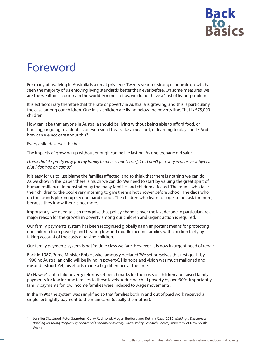

# Foreword

For many of us, living in Australia is a great privilege. Twenty years of strong economic growth has seen the majority of us enjoying living standards better than ever before. On some measures, we are the wealthiest country in the world. For most of us, we do not have a 'cost of living' problem.

It is extraordinary therefore that the rate of poverty in Australia is growing, and this is particularly the case among our children. One in six children are living below the poverty line. That is 575,000 children.

How can it be that anyone in Australia should be living without being able to afford food, or housing, or going to a dentist, or even small treats like a meal out, or learning to play sport? And how can we not care about this?

Every child deserves the best.

The impacts of growing up without enough can be life lasting. As one teenage girl said:

#### *I think that it's pretty easy [for my family to meet school costs], 'cos I don't pick very expensive subjects, plus I don't go on camps<sup>1</sup>*

It is easy for us to just blame the families affected, and to think that there is nothing we can do. As we show in this paper, there is much we can do. We need to start by valuing the great spirit of human resilience demonstrated by the many families and children affected. The mums who take their children to the pool every morning to give them a hot shower before school. The dads who do the rounds picking up second hand goods. The children who learn to cope, to not ask for more, because they know there is not more.

Importantly, we need to also recognise that policy changes over the last decade in particular are a major reason for the growth in poverty among our children and urgent action is required.

Our family payments system has been recognised globally as an important means for protecting our children from poverty, and treating low and middle income families with children fairly by taking account of the costs of raising children.

Our family payments system is not 'middle class welfare'. However, it is now in urgent need of repair.

Back in 1987, Prime Minister Bob Hawke famously declared 'We set ourselves this first goal - by 1990 no Australian child will be living in poverty". His hope and vision was much maligned and misunderstood. Yet, his efforts made a big difference at the time.

Mr Hawke's anti-child poverty reforms set benchmarks for the costs of children and raised family payments for low income families to those levels, reducing child poverty by over30%. Importantly, family payments for low income families were indexed to wage movements.

In the 1990s the system was simplified so that families both in and out of paid work received a single fortnightly payment to the main carer (usually the mother).

<sup>1</sup> Jennifer Skattebol, Peter Saunders, Gerry Redmond, Megan Bedford and Bettina Cass (2012) *Making a Difference: Building on Young People's Experiences of Economic Adversity. Social Policy Research Centre*, University of New South Wales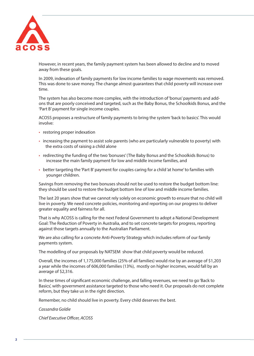

However, in recent years, the family payment system has been allowed to decline and to moved away from these goals.

In 2009, indexation of family payments for low income families to wage movements was removed. This was done to save money. The change almost guarantees that child poverty will increase over time.

The system has also become more complex, with the introduction of 'bonus' payments and addons that are poorly conceived and targeted, such as the Baby Bonus, the Schoolkids Bonus, and the 'Part B' payment for single income couples.

ACOSS proposes a restructure of family payments to bring the system 'back to basics'. This would involve:

- restoring proper indexation
- increasing the payment to assist sole parents (who are particularly vulnerable to poverty) with the extra costs of raising a child alone
- redirecting the funding of the two 'bonuses' (The Baby Bonus and the Schoolkids Bonus) to increase the main family payment for low and middle income families, and
- better targeting the 'Part B' payment for couples caring for a child 'at home' to families with younger children.

Savings from removing the two bonuses should not be used to restore the budget bottom line: they should be used to restore the budget bottom line of low and middle income families.

The last 20 years show that we cannot rely solely on economic growth to ensure that no child will live in poverty. We need concrete policies, monitoring and reporting on our progress to deliver greater equality and fairness for all.

That is why ACOSS is calling for the next Federal Government to adopt a National Development Goal: The Reduction of Poverty in Australia, and to set concrete targets for progress, reporting against those targets annually to the Australian Parliament.

We are also calling for a concrete Anti-Poverty Strategy which includes reform of our family payments system.

The modelling of our proposals by NATSEM show that child poverty would be reduced.

Overall, the incomes of 1,175,000 families (25% of all families) would rise by an average of \$1,203 a year while the incomes of 606,000 families (13%), mostly on higher incomes, would fall by an average of \$2,316.

In these times of significant economic challenge, and falling revenues, we need to go 'Back to Basics', with government assistance targeted to those who need it. Our proposals do not complete reform, but they take us in the right direction.

Remember, no child should live in poverty. Every child deserves the best.

*Cassandra Goldie*

*Chief Executive Officer, ACOSS*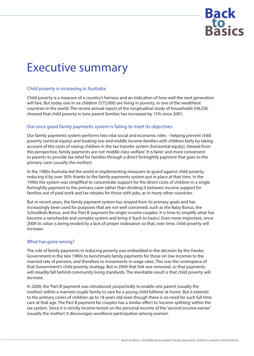

# Executive summary

# Child poverty is increasing in Australia

Child poverty is a measure of a country's fairness and an indication of how well the next generation will fare. But today one in six children (575,000) are living in poverty, in one of the wealthiest countries in the world. The recent annual report of the longitudinal study of households (HILDA) showed that child poverty in lone parent families has increased by 15% since 2001.

# Our once good family payments system is failing to meet its objectives

Our family payments system performs two vital social and economic roles – helping prevent child poverty (vertical equity) and treating low and middle income families with children fairly by taking account of the costs of raising children in the tax-transfer system (horizontal equity). Viewed from this perspective, family payments are not 'middle class welfare'. It is fairer and more convenient to parents to provide tax relief for families through a direct fortnightly payment that goes to the primary carer (usually the mother).

In the 1980s Australia led the world in implementing measures to guard against child poverty, reducing it by over 30% thanks to the family payments system put in place at that time. In the 1990s the system was simplified to concentrate support for the direct costs of children in a single fortnightly payment to the primary carer rather than dividing it between income support for families out of paid work and tax rebates for those with jobs, as in many other countries.

But in recent years, the family payment system has strayed from its primary goals and has increasingly been used for purposes that are not well conceived, such as the Baby Bonus, the Schoolkids Bonus, and the 'Part B' payment for single income couples. It is time to simplify what has become a ramshackle and complex system and bring it 'back to basics'. Even more important, since 2009 its value is being eroded by a lack of proper indexation so that, over time, child poverty will increase.

# What has gone wrong?

The role of family payments in reducing poverty was embedded in the decision by the Hawke Government in the late 1980s to benchmark family payments for those on low incomes to the married rate of pension, and therefore to movements in wage rates. This was the centrepiece of that Government's child poverty strategy. But in 2009 that link was removed, so that payments will steadily fall behind community living standards. The inevitable result is that child poverty will increase.

In 2000, the 'Part B' payment was introduced, purportedly to enable one parent (usually the mother) within a married couple family to care for a young child fulltime 'at home'. But it extends to the primary carers of children up to 18 years old even though there is no need for such full time care at that age. The Part B payment for couples has a similar effect to 'income splitting' within the tax system. Since it is strictly income tested on the personal income of the 'second income earner' (usually the mother) it discourages workforce participation among women.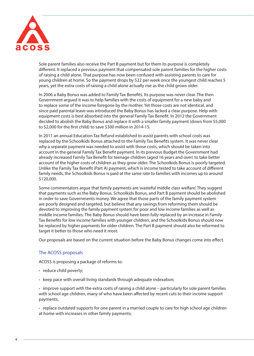

Sole parent families also receive the Part B payment but for them its purpose is completely different. It replaced a previous payment that compensated sole parent families for the higher costs of raising a child alone. That purpose has now been confused with assisting parents to care for young children at home. So the payment drops by \$22 per week once the youngest child reaches 5 years, yet the extra costs of raising a child alone actually rise as the child grows older.

In 2006 a Baby Bonus was added to Family Tax Benefits. Its purpose was never clear. The then Government argued it was to help families with the costs of equipment for a new baby and to replace some of the income foregone by the mother. Yet those costs are not identical, and since paid parental leave was introduced the Baby Bonus has lacked a clear purpose. Help with equipment costs is best absorbed into the general Family Tax Benefit. In 2012 the Government decided to abolish the Baby Bonus and replace it with a smaller family payment (down from \$5,000 to \$2,000 for the first child) to save \$300 million in 2014-15.

In 2011 an annual Education Tax Refund established to assist parents with school costs was replaced by the Schoolkids Bonus attached to the Family Tax Benefits system. It was never clear why a separate payment was needed to assist with those costs, which should be taken into account in the general Family Tax Benefit payment. In its previous Budget the Government had already increased Family Tax Benefit for teenage children (aged 16 years and over) to take better account of the higher costs of children as they grow older. The Schoolkids Bonus is poorly targeted. Unlike the Family Tax Benefit (Part A) payment, which is income tested to take account of different family needs, the Schoolkids Bonus is paid at the same rate to families with incomes up to around \$120,000.

Some commentators argue that family payments are 'wasteful middle class welfare'. They suggest that payments such as the Baby Bonus, Schoolkids Bonus, and Part B payment should be abolished in order to save Governments money. We agree that those parts of the family payment system are poorly designed and targeted, but believe that any savings from reforming them should be devoted to improving the family payment system for poor and low income families as well as middle income families. The Baby Bonus should have been fully replaced by an increase in Family Tax Benefits for low income families with younger children, and the Schoolkids Bonus should now be replaced by higher payments for older children. The Part B payment should also be reformed to target it better to those who need it most.

Our proposals are based on the current situation before the Baby Bonus changes come into effect.

# The ACOSS proposals

ACOSS is proposing a package of reforms to:

- reduce child poverty;
- keep pace with overall living standards through adequate indexation;

• improve support with the extra costs of raising a child alone – particularly for sole parent families with school age children, many of who have been affected by recent cuts to their income support payments;

• replace outdated supports for one parent in a married couple to care for high school age children at home with increases in other family payments;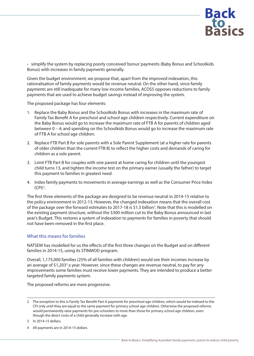

• simplify the system by replacing poorly conceived 'bonus' payments (Baby Bonus and Schoolkids Bonus) with increases in family payments generally.

Given the budget environment, we propose that, apart from the improved indexation, this rationalisation of family payments would be revenue neutral. On the other hand, since family payments are still inadequate for many low income families, ACOSS opposes reductions to family payments that are used to achieve budget savings instead of improving the system.

The proposed package has four elements:

- 1. Replace the Baby Bonus and the Schoolkids Bonus with increases in the maximum rate of Family Tax Benefit A for preschool and school age children respectively. Current expenditure on the Baby Bonus would go to increase the maximum rate of FTB A for parents of children aged between 0 – 4; and spending on the Schoolkids Bonus would go to increase the maximum rate of FTB A for school age children.
- 2. Replace FTB Part B for sole parents with a Sole Parent Supplement (at a higher rate for parents of older children than the current FTB B) to reflect the higher costs and demands of caring for children as a sole parent.
- 3. Limit FTB Part B for couples with one parent at home caring for children until the youngest child turns 13, and tighten the income test on the primary earner (usually the father) to target this payment to families in greatest need.
- 4. Index family payments to movements in average earnings as well as the Consumer Price Index  $(CPI)^2$ .

The first three elements of the package are designed to be revenue neutral in 2014-15 relative to the policy environment in 2012-13. However, the changed indexation means that the overall cost of the package over the forward estimates to 2017-18 is \$1.3 billion<sup>3</sup>. Note that this is modelled on the existing payment structure, without the \$300 million cut to the Baby Bonus announced in last year's Budget. This restores a system of indexation to payments for families in poverty that should not have been removed in the first place.

# What this means for families

NATSEM has modelled for us the effects of the first three changes on the Budget and on different families in 2014-15, using its STINMOD program.

Overall, 1,175,000 families (25% of all families with children) would see their incomes increase by an average of \$1,203<sup>4</sup> a year. However, since these changes are revenue neutral, to pay for any improvements some families must receive lower payments. They are intended to produce a better targeted family payments system.

The proposed reforms are more progressive.

3 In 2014-15 dollars.

4 All payments are in 2014-15 dollars.

<sup>2</sup> The exception to this is Family Tax Benefit Part A payments for preschool age children, which would be indexed to the CPI only until they are equal to the same payment for primary school age children. Otherwise the proposed reforms would permanently raise payments for pre-schoolers to more than those for primary school age children, even though the direct costs of a child generally increase with age.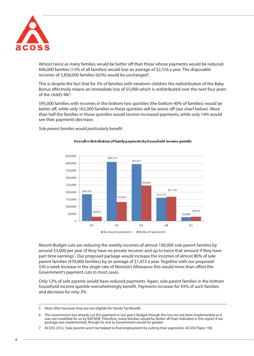

Almost twice as many families would be better off than those whose payments would be reduced. 606,000 families (13% of all families) would lose an average of \$2,316 a year. The disposable incomes of 2,858,000 families (62%) would be unchanged<sup>5</sup>.

This is despite the fact that for 3% of families with newborn children the redistribution of the Baby Bonus effectively means an immediate loss of \$5,000 which is redistributed over the next four years of the child's life<sup>6</sup>.

595,000 families with incomes in the bottom two quintiles (the bottom 40% of families) would be better off, while only 162,000 families in these quintiles will be worse off (see chart below). More than half the families in those quintiles would receive increased payments, while only 14% would see their payments decrease.

*Sole parent families would particularly benefit.*



#### Overall redistribution of family payments by household income quintile

Recent Budget cuts are reducing the weekly incomes of almost 100,000 sole parent families by around \$3,000 per year (if they have no private income) and up to twice that amount if they have part time earnings<sup>7</sup>. Our proposed package would increase the incomes of almost 80% of sole parent families (470,000 families) by an average of \$1,472 a year. Together with our proposed \$50 a week increase in the single rate of Newstart Allowance this would more than offset the Government's payment cuts in most cases.

Only 12% of sole parents would have reduced payments. Again, sole parent families in the bottom household income quintile overwhelmingly benefit. Payments increase for 93% of such families and decrease for only 3%.

<sup>5</sup> Most often because they are not eligible for Family Tax Benefit.

<sup>6</sup> The Government has already cut this payment in last year's Budget though this has not yet been implemented so it was not modelled for us by NATSEM. Therefore, many families would be better off than indicated in this report if our package was implemented, though its cost to Government would be greater.

<sup>7</sup> ACOSS 2012, 'Sole parents won't be helped to find employment by cutting their payments', ACOSS Paper 190.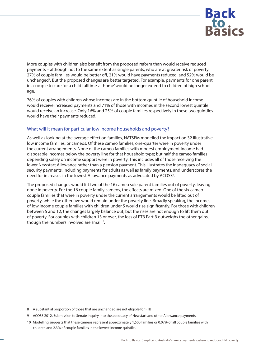

More couples with children also benefit from the proposed reform than would receive reduced payments – although not to the same extent as single parents, who are at greater risk of poverty. 27% of couple families would be better off, 21% would have payments reduced, and 52% would be unchanged<sup>8</sup>. But the proposed changes are better targeted. For example, payments for one parent in a couple to care for a child fulltime 'at home' would no longer extend to children of high school age.

76% of couples with children whose incomes are in the bottom quintile of household income would receive increased payments and 71% of those with incomes in the second lowest quintile would receive an increase. Only 16% and 25% of couple families respectively in these two quintiles would have their payments reduced.

# What will it mean for particular low income households and poverty?

As well as looking at the average effect on families, NATSEM modelled the impact on 32 illustrative low income families, or cameos. Of these cameo families, one-quarter were in poverty under the current arrangements. None of the cameo families with modest employment income had disposable incomes below the poverty line for that household type; but half the cameo families depending solely on income support were in poverty. This includes all of those receiving the lower Newstart Allowance rather than a pension payment. This illustrates the inadequacy of social security payments, including payments for adults as well as family payments, and underscores the need for increases in the lowest Allowance payments as advocated by ACOSS<sup>9</sup>.

The proposed changes would lift two of the 16 cameo sole parent families out of poverty, leaving none in poverty. For the 16 couple family cameos, the effects are mixed. One of the six cameo couple families that were in poverty under the current arrangements would be lifted out of poverty, while the other five would remain under the poverty line. Broadly speaking, the incomes of low income couple families with children under 5 would rise significantly. For those with children between 5 and 12, the changes largely balance out, but the rises are not enough to lift them out of poverty. For couples with children 13 or over, the loss of FTB Part B outweighs the other gains, though the numbers involved are small<sup>10</sup>.

<sup>8</sup> A substantial proportion of those that are unchanged are not eligible for FTB

<sup>9</sup> ACOSS 2012, Submission to Senate Inquiry into the adequacy of Newstart and other Allowance payments.

<sup>10</sup> Modelling suggests that these cameos represent approximately 1,500 families or 0.07% of all couple families with children and 2.3% of couple families in the lowest income quintile..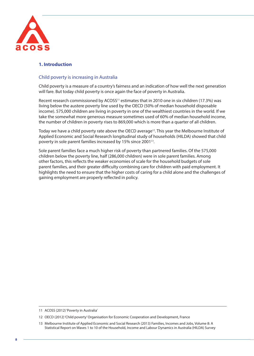

# **1. Introduction**

# Child poverty is increasing in Australia

Child poverty is a measure of a country's fairness and an indication of how well the next generation will fare. But today child poverty is once again the face of poverty in Australia.

Recent research commissioned by ACOSS<sup>11</sup> estimates that in 2010 one in six children (17.3%) was living below the austere poverty line used by the OECD (50% of median household disposable income). 575,000 children are living in poverty in one of the wealthiest countries in the world. If we take the somewhat more generous measure sometimes used of 60% of median household income, the number of children in poverty rises to 869,000 which is more than a quarter of all children.

Today we have a child poverty rate above the OECD average<sup>12</sup>. This year the Melbourne Institute of Applied Economic and Social Research longitudinal study of households (HILDA) showed that child poverty in sole parent families increased by 15% since 2001<sup>13</sup>.

Sole parent families face a much higher risk of poverty than partnered families. Of the 575,000 children below the poverty line, half (286,000 children) were in sole parent families. Among other factors, this reflects the weaker economies of scale for the household budgets of sole parent families, and their greater difficulty combining care for children with paid employment. It highlights the need to ensure that the higher costs of caring for a child alone and the challenges of gaining employment are properly reflected in policy.

<sup>11</sup> ACOSS (2012) 'Poverty in Australia'

<sup>12</sup> OECD (2012) 'Child poverty' Organisation for Economic Cooperation and Development, France

<sup>13</sup> Melbourne Institute of Applied Economic and Social Research (2013) Families, Incomes and Jobs, Volume 8: A Statistical Report on Waves 1 to 10 of the Household, Income and Labour Dynamics in Australia (HILDA) Survey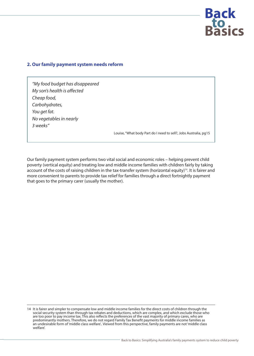

# **2. Our family payment system needs reform**

*"My food budget has disappeared My son's health is affected Cheap food, Carbohydrates, You get fat. No vegetables in nearly 3 weeks"*

Louise, "What body Part do I need to sell?, Jobs Australia, pg15

Our family payment system performs two vital social and economic roles – helping prevent child poverty (vertical equity) and treating low and middle income families with children fairly by taking account of the costs of raising children in the tax-transfer system (horizontal equity)<sup>14</sup>. It is fairer and more convenient to parents to provide tax relief for families through a direct fortnightly payment that goes to the primary carer (usually the mother).

<sup>14</sup> It is fairer and simpler to compensate low and middle income families for the direct costs of children through the social security system than through tax rebates and deductions, which are complex, and which exclude those who are too poor to pay income tax. This also reflects the preferences of the vast majority of primary cares, who are predominantly mothers. Therefore, we do not regard Family Tax Benefit payments for middle income families as an undesirable form of 'middle class welfare'.. Viewed from this perspective, family payments are not 'middle class welfare'.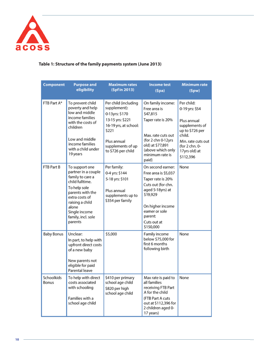

# **Table 1: Structure of the family payments system (June 2013)**

| <b>Component</b>    | <b>Purpose and</b><br>eligibility                                                                                                                                                                                | <b>Maximum rates</b><br>(\$pf in 2013)                                                                                                                                 | <b>Income test</b><br>(Spa)                                                                                                                                                                      | <b>Minimum rate</b><br>(Spw)                                                                                                                                     |
|---------------------|------------------------------------------------------------------------------------------------------------------------------------------------------------------------------------------------------------------|------------------------------------------------------------------------------------------------------------------------------------------------------------------------|--------------------------------------------------------------------------------------------------------------------------------------------------------------------------------------------------|------------------------------------------------------------------------------------------------------------------------------------------------------------------|
| FTB Part A*         | To prevent child<br>poverty and help<br>low and middle<br>income families<br>with the costs of<br>children<br>Low and middle<br>income families<br>with a child under<br>19 years                                | Per child (including<br>supplement):<br>0-13yrs: \$170<br>13-15 yrs: \$221<br>16-19 yrs, at school:<br>\$221<br>Plus annual<br>supplements of up<br>to \$726 per child | On family income:<br>Free area is<br>\$47,815<br>Taper rate is 20%<br>Max. rate cuts out<br>(for 2 chn 0-12yrs<br>old) at \$77,891<br>(above which only<br>minimum rate is<br>paid)              | Per child:<br>0-19 yrs: \$54<br>Plus annual<br>supplements of<br>up to \$726 per<br>child.<br>Min. rate cuts out<br>(for 2 chn. 0-<br>17yrs old) at<br>\$112,396 |
| FTB Part B          | To support one<br>partner in a couple<br>family to care a<br>child fulltime.<br>To help sole<br>parents with the<br>extra costs of<br>raising a child<br>alone<br>Single income<br>family, incl. sole<br>parents | Per family:<br>0-4 yrs: \$144<br>5-18 yrs: \$101<br>Plus annual<br>supplements up to<br>\$354 per family                                                               | On second earner:<br>Free area is \$5,037<br>Taper rate is 20%<br>Cuts out (for chn.<br>aged 5-18yrs) at<br>\$19,929<br>On higher income<br>eamer or sole<br>parent:<br>Cuts out at<br>\$150,000 | None                                                                                                                                                             |
| <b>Baby Bonus</b>   | Unclear:<br>In part, to help with<br>upfront direct costs<br>of a new baby<br>New parents not<br>eligible for paid<br>Parental leave                                                                             | \$5,000                                                                                                                                                                | Family income<br>below \$75,000 for<br>first 6 months<br>following birth                                                                                                                         | None                                                                                                                                                             |
| Schoolkids<br>Bonus | To help with direct<br>costs associated<br>with schooling<br>Families with a<br>school age child                                                                                                                 | \$410 per primary<br>school age child<br>\$820 per high<br>school age child                                                                                            | Max rate is paid to<br>all families<br>receiving FTB Part<br>A for the child<br>(FTB Part A cuts<br>out at \$112,396 for<br>2 children aged 0-<br>17 years)                                      | None                                                                                                                                                             |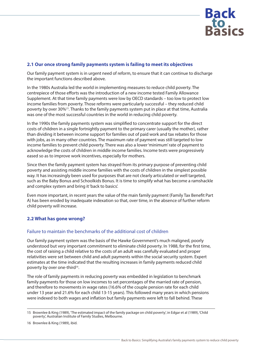

# **2.1 Our once strong family payments system is failing to meet its objectives**

Our family payment system is in urgent need of reform, to ensure that it can continue to discharge the important functions described above.

In the 1980s Australia led the world in implementing measures to reduce child poverty. The centrepiece of those efforts was the introduction of a new income tested Family Allowance Supplement. At that time family payments were low by OECD standards – too low to protect low income families from poverty. Those reforms were particularly successful – they reduced child poverty by over 30%15. Thanks to the family payments system put in place at that time, Australia was one of the most successful countries in the world in reducing child poverty.

In the 1990s the family payments system was simplified to concentrate support for the direct costs of children in a single fortnightly payment to the primary carer (usually the mother), rather than dividing it between income support for families out of paid work and tax rebates for those with jobs, as in many other countries. The maximum rate of payment was still targeted to low income families to prevent child poverty. There was also a lower 'minimum' rate of payment to acknowledge the costs of children in middle income families. Income tests were progressively eased so as to improve work incentives, especially for mothers.

Since then the family payment system has strayed from its primary purpose of preventing child poverty and assisting middle income families with the costs of children in the simplest possible way. It has increasingly been used for purposes that are not clearly articulated or well targeted, such as the Baby Bonus and Schoolkids Bonus. It is time to simplify what has become a ramshackle and complex system and bring it 'back to basics'.

Even more important, in recent years the value of the main family payment (Family Tax Benefit Part A) has been eroded by inadequate indexation so that, over time, in the absence of further reform child poverty will increase.

# **2.2 What has gone wrong?**

# Failure to maintain the benchmarks of the additional cost of children

Our family payment system was the basis of the Hawke Government's much maligned, poorly understood but very important commitment to eliminate child poverty. In 1988, for the first time, the cost of raising a child relative to the costs of an adult was carefully evaluated and proper relativities were set between child and adult payments within the social security system. Expert estimates at the time indicated that the resulting increases in family payments reduced child poverty by over one-third<sup>16</sup>.

The role of family payments in reducing poverty was embedded in legislation to benchmark family payments for those on low incomes to set percentages of the married rate of pension, and therefore to movements in wage rates (16.6% of the couple pension rate for each child under 13 year and 21.6% for each child 13-15 years). This followed many years in which pensions were indexed to both wages and inflation but family payments were left to fall behind. These

<sup>15</sup> Brownlee & King (1989), 'The estimated impact of the family package on child poverty', in Edgar et al (1989), 'Child poverty', Australian Institute of Family Studies, Melbourne.

<sup>16</sup> Brownlee & King (1989), ibid.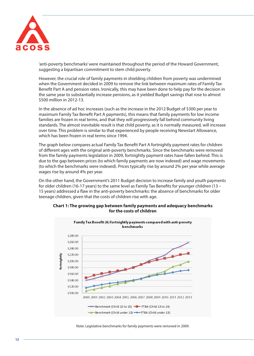

'anti-poverty benchmarks' were maintained throughout the period of the Howard Government, suggesting a bipartisan commitment to stem child poverty.

However, the crucial role of family payments in shielding children from poverty was undermined when the Government decided in 2009 to remove the link between maximum rates of Family Tax Benefit Part A and pension rates. Ironically, this may have been done to help pay for the decision in the same year to substantially increase pensions, as it yielded Budget savings that rose to almost \$500 million in 2012-13.

In the absence of ad hoc increases (such as the increase in the 2012 Budget of \$300 per year to maximum Family Tax Benefit Part A payments), this means that family payments for low income families are frozen in real terms, and that they will progressively fall behind community living standards. The almost inevitable result is that child poverty, as it is normally measured, will increase over time. This problem is similar to that experienced by people receiving Newstart Allowance, which has been frozen in real terms since 1994.

The graph below compares actual Family Tax Benefit Part A fortnightly payment rates for children of different ages with the original anti-poverty benchmarks. Since the benchmarks were removed from the family payments legislation in 2009, fortnightly payment rates have fallen behind. This is due to the gap between prices (to which family payments are now indexed) and wage movements (to which the benchmarks were indexed). Prices typically rise by around 2% per year while average wages rise by around 4% per year.

On the other hand, the Government's 2011 Budget decision to increase family and youth payments for older children (16-17 years) to the same level as Family Tax Benefits for younger children (13 – 15 years) addressed a flaw in the anti-poverty benchmarks: the absence of benchmarks for older teenage children, given that the costs of children rise with age.



#### **Chart 1: The growing gap between family payments and adequacy benchmarks for the costs of children**

Note: Legislative benchmarks for family payments were removed in 2009.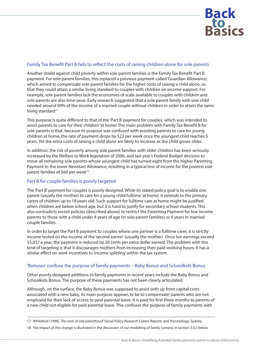

# Family Tax Benefit Part B fails to reflect the costs of raising children alone for sole parents

Another shield against child poverty within sole parent families is the Family Tax Benefit Part B payment. For sole parent families, this replaced a previous payment called 'Guardian Allowance', which aimed to compensate sole parent families for the higher costs of raising a child alone, so that they could attain a similar living standard to couples with children on income support. For example, sole parent families lack the economies of scale available to couples with children and sole parents are also time-poor. Early research suggested that a sole parent family with one child needed around 90% of the income of a married couple without children in order to attain the same living standard $17$ 

This purpose is quite different to that of the 'Part B' payment for couples, which was intended to assist parents to care for their children 'at home'. The main problem with Family Tax Benefit B for sole parents is that, because its purpose was confused with assisting parents to care for young children at home, the rate of payment drops by \$22 per week once the youngest child reaches 5 years. Yet the extra costs of raising a child alone are likely to increase as the child grows older.

In addition, the risk of poverty among sole parent families with older children has been seriously increased by the Welfare to Work legislation of 2006, and last year's Federal Budget decision to move all remaining sole parents whose youngest child has turned eight from the higher Parenting Payment to the lower Newstart Allowance, resulting in a typical loss of income for the poorest sole parent families of \$60 per week $18$ .

# Part B for couple families is poorly targeted

The 'Part B' payment for couples is poorly designed. While its stated policy goal is to enable one parent (usually the mother) to care for a young child fulltime 'at home', it extends to the primary carers of children up to 18 years old. Such support for fulltime care at home might be justified when children are below school age, but it is hard to justify for secondary school students. This also contradicts recent policies (described above) to restrict the Parenting Payment for low income parents to those with a child under 8 years of age (in sole parent families) or 6 years in married couple families.

In order to target the Part B payment to couples where one partner is a fulltime carer, it is strictly income tested on the income of the 'second earner' (usually the mother). Once her earnings exceed \$5,037 a year, the payment is reduced by 20 cents per extra dollar earned. The problem with this kind of targeting is that it discourages mothers from increasing their paid working hours. It has a similar effect on work incentives to 'income splitting' within the tax system.

#### 'Bonuses' confuse the purpose of family payments – Baby Bonus and Schoolkids Bonus

Other poorly designed additions to family payments in recent years include the Baby Bonus and Schoolkids Bonus. The purpose of these payments has not been clearly articulated.

Although, on the surface, the Baby Bonus was supposed to assist with up front capital costs associated with a new baby, its main purpose appears to be to 'compensate' parents who are not employed for their lack of access to paid parental leave. It is paid for first three months to parents of a new child not eligible for paid parental leave. This confuses the purpose of family payments with

<sup>17</sup> Whiteford (1998), *The costs of sole parenthood'* Social Policy Research Centre Reports and Proceedings, Sydney.

<sup>18</sup> The impact of this change is illustrated in the discussion of our modelling of family 'cameos' in section 3.4.2 below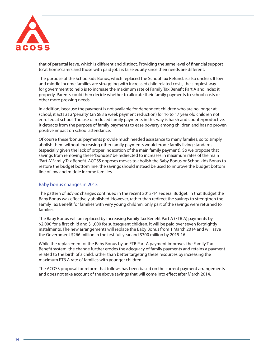

that of parental leave, which is different and distinct. Providing the same level of financial support to 'at home' carers and those with paid jobs is false equity since their needs are different.

The purpose of the Schoolkids Bonus, which replaced the School Tax Refund, is also unclear. If low and middle income families are struggling with increased child related costs, the simplest way for government to help is to increase the maximum rate of Family Tax Benefit Part A and index it properly. Parents could then decide whether to allocate their family payments to school costs or other more pressing needs.

In addition, because the payment is not available for dependent children who are no longer at school, it acts as a 'penalty' (an \$83 a week payment reduction) for 16 to 17 year old children not enrolled at school. The use of reduced family payments in this way is harsh and counterproductive. It detracts from the purpose of family payments to ease poverty among children and has no proven positive impact on school attendance.

Of course these 'bonus' payments provide much needed assistance to many families, so to simply abolish them without increasing other family payments would erode family living standards (especially given the lack of proper indexation of the main family payment). So we propose that savings from removing these 'bonuses' be redirected to increases in maximum rates of the main 'Part A' Family Tax Benefit. ACOSS opposes moves to abolish the Baby Bonus or Schoolkids Bonus to restore the budget bottom line: the savings should instead be used to improve the budget bottom line of low and middle income families.

# Baby bonus changes in 2013

The pattern of *ad hoc* changes continued in the recent 2013-14 Federal Budget. In that Budget the Baby Bonus was effectively abolished. However, rather than redirect the savings to strengthen the Family Tax Benefit for families with very young children, only part of the savings were returned to families.

The Baby Bonus will be replaced by increasing Family Tax Benefit Part A (FTB A) payments by \$2,000 for a first child and \$1,000 for subsequent children. It will be paid over seven fortnightly instalments. The new arrangements will replace the Baby Bonus from 1 March 2014 and will save the Government \$266 million in the first full year and \$300 million by 2015-16.

While the replacement of the Baby Bonus by an FTB Part A payment improves the Family Tax Benefit system, the change further erodes the adequacy of family payments and retains a payment related to the birth of a child, rather than better targeting these resources by increasing the maximum FTB A rate of families with younger children.

The ACOSS proposal for reform that follows has been based on the current payment arrangements and does not take account of the above savings that will come into effect after March 2014.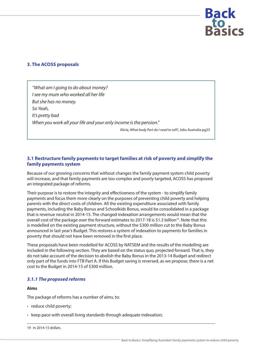

# **3. The ACOSS proposals**

*"What am I going to do about money? I see my mum who worked all her life But she has no money. So Yeah, It's pretty bad When you work all your life and your only income is the pension."* Alicia, *What body Part do I need to sell?,* Jobs Australia pg23

# **3.1 Restructure family payments to target families at risk of poverty and simplify the family payments system**

Because of our growing concerns that without changes the family payment system child poverty will increase, and that family payments are too complex and poorly targeted, ACOSS has proposed an integrated package of reforms.

Their purpose is to restore the integrity and effectiveness of the system - to simplify family payments and focus them more clearly on the purposes of preventing child poverty and helping parents with the direct costs of children. All the existing expenditure associated with family payments, including the Baby Bonus and Schoolkids Bonus, would be consolidated in a package that is revenue neutral in 2014-15. The changed indexation arrangements would mean that the overall cost of the package over the forward estimates to 2017-18 is \$1.3 billion<sup>19</sup>. Note that this is modelled on the existing payment structure, without the \$300 million cut to the Baby Bonus announced in last year's Budget. This restores a system of indexation to payments for families in poverty that should not have been removed in the first place.

These proposals have been modelled for ACOSS by NATSEM and the results of the modelling are included in the following section. They are based on the status quo, projected forward. That is, they do not take account of the decision to abolish the Baby Bonus in the 2013-14 Budget and redirect only part of the funds into FTB Part A. If this Budget saving is reversed, as we propose, there is a net cost to the Budget in 2014-15 of \$300 million.

# *3.1.1 The proposed reforms*

#### **Aims**

The package of reforms has a number of aims, to:

- reduce child poverty;
- keep pace with overall living standards through adequate indexation;

<sup>19</sup> In 2014-15 dollars.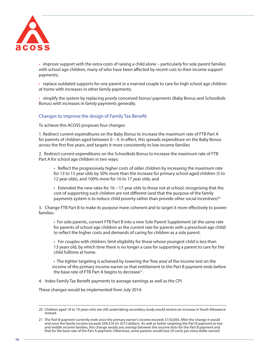

• improve support with the extra costs of raising a child alone – particularly for sole parent families with school age children, many of who have been affected by recent cuts to their income support payments;

• replace outdated supports for one parent in a married couple to care for high school age children at home with increases in other family payments;

• simplify the system by replacing poorly conceived 'bonus' payments (Baby Bonus and Schoolkids Bonus) with increases in family payments generally.

# Changes to improve the design of Family Tax Benefit

To achieve this ACOSS proposes four changes:

1. Redirect current expenditures on the Baby Bonus to increase the maximum rate of FTB Part A for parents of children aged between 0 – 4. In effect, this spreads expenditure on the Baby Bonus across the first five years, and targets it more consistently to low income families

2. Redirect current expenditures on the Schoolkids Bonus to increase the maximum rate of FTB Part A for school age children in two ways:

• Reflect the progressively higher costs of older children by increasing the maximum rate for 13 to 15 year olds by 50% more than the increase for primary school aged children (5 to 12 year olds), and 100% more for 16 to 17 year olds; and

• Extended the new rates for 16 – 17 year olds to those not at school, recognising that the cost of supporting such children are not different (and that the purpose of the family payments system is to reduce child poverty rather than provide other social incentives) $20$ 

3. Change FTB Part B to make its purpose more coherent and to target it more effectively to poorer families:

• For sole parents, convert FTB Part B into a new Sole Parent Supplement (at the same rate for parents of school age children as the current rate for parents with a preschool age child) to reflect the higher costs and demands of caring for children as a sole parent.

• For couples with children, limit eligibility for those whose youngest child is less than 13 years old, by which time there is no longer a case for supporting a parent to care for the child fulltime at home.

• The tighter targeting is achieved by lowering the 'free area' of the income test on the income of the primary income earner so that entitlement to the Part B payment ends before the base rate of FTB Part A begins to decrease $21$ .

4. Index Family Tax Benefit payments to average earnings as well as the CPI.

These changes would be implemented from July 2014.

<sup>20</sup> Children aged 18 to 19 years who are still undertaking secondary study would receive an increase in Youth Allowance instead.

<sup>21</sup> The Part B payment currently ends once the primary earner's income exceeds \$150,000. After the change it would end once the family income exceeds \$94,316 (in 2013 dollars). As well as better targeting the Part B payment to low and middle income families, this change avoids any overlap between the income tests for the Part B payment and that for the base rate of the Part A payment. Otherwise, some parents would lose 50 cents per extra dollar earned.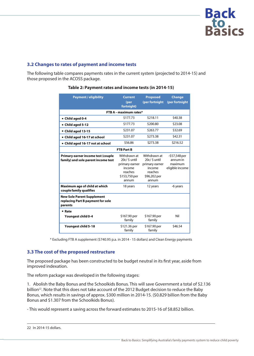

# **3.2 Changes to rates of payment and income tests**

The following table compares payments rates in the current system (projected to 2014-15) and those proposed in the ACOSS package.

| <b>Payment / eligibility</b>                                                      | <b>Current</b><br>(per<br>fortnight)                                                           | <b>Proposed</b><br>(per fortnight                                                             | Change<br>(per fortnight                                |
|-----------------------------------------------------------------------------------|------------------------------------------------------------------------------------------------|-----------------------------------------------------------------------------------------------|---------------------------------------------------------|
|                                                                                   | FTB A - maximum rates*                                                                         |                                                                                               |                                                         |
| • Child aged 0-4                                                                  | \$177.73                                                                                       | \$218.11                                                                                      | \$40.38                                                 |
| $\bullet$ Child aged 5-12                                                         | \$177.73                                                                                       | \$200.80                                                                                      | \$23.08                                                 |
| • Child aged 13-15                                                                | \$231.07                                                                                       | \$263.77                                                                                      | \$32.69                                                 |
| • Child aged 16-17 at school                                                      | \$231.07                                                                                       | \$273.38                                                                                      | \$42.31                                                 |
| • Child aged 16-17 not at school                                                  | \$56.86                                                                                        | \$273.38                                                                                      | \$216.52                                                |
|                                                                                   | FTB Part B                                                                                     |                                                                                               |                                                         |
| Primary earner income test (couple<br>family) and sole parent income test         | Withdrawn at<br>20c/ \$ until<br>primary earner<br>income<br>reaches<br>\$153,750 per<br>annum | Withdrawn at<br>20c/ \$ until<br>primary earner<br>income<br>reaches<br>\$96,202 per<br>annum | -\$57,548 per<br>annum in<br>maximum<br>eligible income |
| Maximum age of child at which<br>couple family qualifies                          | 18 years                                                                                       | 12 years                                                                                      | -6 years                                                |
| <b>New Sole Parent Supplement</b><br>replacing Part B payment for sole<br>parents |                                                                                                |                                                                                               |                                                         |
| • Rate<br>Youngest child 0-4                                                      | \$167.90 per<br>family                                                                         | \$167.90 per<br>family                                                                        | Nil                                                     |
| Youngest child 5-18                                                               | \$121.36 per<br>family                                                                         | \$167.90 per<br>family                                                                        | \$46.54                                                 |

#### **Table 2: Payment rates and income tests (in 2014-15)**

\* Excluding FTB A supplement (\$740.95 p.a. in 2014 - 15 dollars) and Clean Energy payments

# **3.3 The cost of the proposed restructure**

The proposed package has been constructed to be budget neutral in its first year, aside from improved indexation.

The reform package was developed in the following stages:

1. Abolish the Baby Bonus and the Schoolkids Bonus. This will save Government a total of \$2.136 billion<sup>22</sup>. Note that this does not take account of the 2012 Budget decision to reduce the Baby Bonus, which results in savings of approx. \$300 million in 2014-15. (\$0.829 billion from the Baby Bonus and \$1.307 from the Schoolkids Bonus).

- This would represent a saving across the forward estimates to 2015-16 of \$8.852 billion.

<sup>22</sup> In 2014-15 dollars.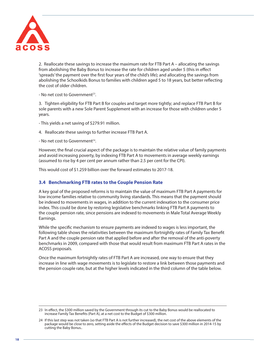

2. Reallocate these savings to increase the maximum rate for FTB Part A – allocating the savings from abolishing the Baby Bonus to increase the rate for children aged under 5 (this in effect 'spreads' the payment over the first four years of the child's life); and allocating the savings from abolishing the Schoolkids Bonus to families with children aged 5 to 18 years, but better reflecting the cost of older children.

 $-$  No net cost to Government<sup>23</sup>.

3. Tighten eligibility for FTB Part B for couples and target more tightly; and replace FTB Part B for sole parents with a new Sole Parent Supplement with an increase for those with children under 5 years.

- This yields a net saving of \$279.91 million.

4. Reallocate these savings to further increase FTB Part A.

 $-$  No net cost to Government<sup>24</sup>.

However, the final crucial aspect of the package is to maintain the relative value of family payments and avoid increasing poverty, by indexing FTB Part A to movements in average weekly earnings (assumed to rise by 4 per cent per annum rather than 2.5 per cent for the CPI).

This would cost of \$1.259 billion over the forward estimates to 2017-18.

# **3.4 Benchmarking FTB rates to the Couple Pension Rate**

A key goal of the proposed reforms is to maintain the value of maximum FTB Part A payments for low income families relative to community living standards. This means that the payment should be indexed to movements in wages, in addition to the current indexation to the consumer price index. This could be done by restoring legislative benchmarks linking FTB Part A payments to the couple pension rate, since pensions are indexed to movements in Male Total Average Weekly Earnings.

While the specific mechanism to ensure payments are indexed to wages is less important, the following table shows the relativities between the maximum fortnightly rates of Family Tax Benefit Part A and the couple pension rate that applied before and after the removal of the anti-poverty benchmarks in 2009, compared with those that would result from maximum FTB Part A rates in the ACOSS proposals.

Once the maximum fortnightly rates of FTB Part A are increased, one way to ensure that they increase in line with wage movements is to legislate to restore a link between those payments and the pension couple rate, but at the higher levels indicated in the third column of the table below.

<sup>23</sup> In effect, the \$300 million saved by the Government through its cut to the Baby Bonus would be reallocated to increase Family Tax Benefits (Part A), at a net cost to the Budget of \$300 million.

<sup>24</sup> If this last step was not taken (so that FTB Part A is not further increased), the net cost of the above elements of the package would be close to zero, setting aside the effects of the Budget decision to save \$300 million in 2014-15 by cutting the Baby Bonus..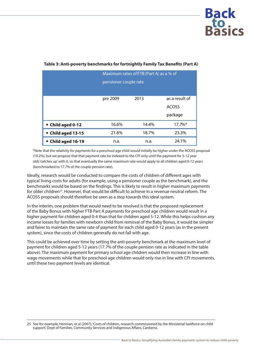|                    |          | Maximum rates of FTB (Part A) as a % of |         |  |  |  |  |  |  |
|--------------------|----------|-----------------------------------------|---------|--|--|--|--|--|--|
|                    |          | pensioner couple rate                   |         |  |  |  |  |  |  |
|                    | pre 2009 | 2013                                    |         |  |  |  |  |  |  |
|                    |          |                                         |         |  |  |  |  |  |  |
|                    |          |                                         | package |  |  |  |  |  |  |
| • Child aged 0-12  | 16.6%    | 14.4%                                   | 17.7%*  |  |  |  |  |  |  |
| • Child aged 13-15 | 21.6%    | 18.7%                                   | 23.3%   |  |  |  |  |  |  |
| • Child aged 16-19 | n.a.     | n.a.                                    | 24.1%   |  |  |  |  |  |  |

# **Table 3: Anti-poverty benchmarks for fortnightly Family Tax Benefits (Part A)**

\*Note that the relativity for payments for a preschool age child would initially be higher under the ACOSS proposal (19.2%), but we propose that that payment rate be indexed to the CPI only until the payment for 5-12 year olds 'catches up' with it, so that eventually the same maximum rate would apply to all children aged 0-12 years (benchmarked to 17.7% of the couple pension rate).

Ideally, research would be conducted to compare the costs of children of different ages with typical living costs for adults (for example, using a pensioner couple as the benchmark), and the benchmarks would be based on the findings. This is likely to result in higher maximum payments for older children<sup>25</sup>. However, that would be difficult to achieve in a revenue neutral reform. The ACOSS proposals should therefore be seen as a step towards this ideal system.

In the interim, one problem that would need to be resolved is that the proposed replacement of the Baby Bonus with higher FTB Part A payments for preschool age children would result in a higher payment for children aged 0-4 than that for children aged 5-12. While this helps cushion any income losses for families with newborn child from removal of the Baby Bonus, it would be simpler and fairer to maintain the same rate of payment for each child aged 0-12 years (as in the present system), since the costs of children generally do not fall with age.

This could be achieved over time by setting the anti-poverty benchmark at the maximum level of payment for children aged 5-12 years (17.7% of the couple pension rate as indicated in the table above). The maximum payment for primary school age children would then increase in line with wage movements while that for preschool age children would only rise in line with CPI movements, until these two payment levels are identical.

<sup>25</sup> See for example, Henman, et al (2007), 'Costs of children, research commissioned by the Ministerial taskforce on child support', Dept of Families, Community Services and Indigenous Affairs, Canberra.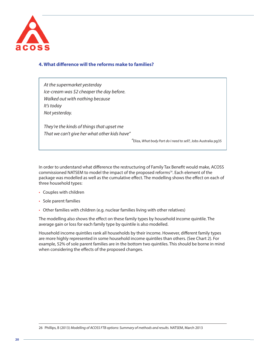

# **4. What difference will the reforms make to families?**

*At the supermarket yesterday Ice-cream was \$2 cheaper the day before. Walked out with nothing because It's today Not yesterday.*

*They're the kinds of things that upset me That we can't give her what other kids have"*

*"*Eliza, *What body Part do I need to sell?,* Jobs Australia pg35

In order to understand what difference the restructuring of Family Tax Benefit would make, ACOSS commissioned NATSEM to model the impact of the proposed reforms<sup>26</sup>. Each element of the package was modelled as well as the cumulative effect. The modelling shows the effect on each of three household types:

- Couples with children
- Sole parent families
- Other families with children (e.g. nuclear families living with other relatives)

The modelling also shows the effect on these family types by household income quintile. The average gain or loss for each family type by quintile is also modelled.

Household income quintiles rank all households by their income. However, different family types are more highly represented in some household income quintiles than others. (See Chart 2). For example, 52% of sole parent families are in the bottom two quintiles. This should be borne in mind when considering the effects of the proposed changes.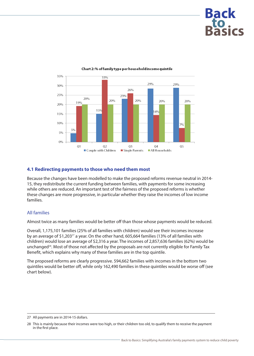



#### Chart 2:% of family type per household income quintile

# **4.1 Redirecting payments to those who need them most**

Because the changes have been modelled to make the proposed reforms revenue neutral in 2014- 15, they redistribute the current funding between families, with payments for some increasing while others are reduced. An important test of the fairness of the proposed reforms is whether these changes are more progressive, in particular whether they raise the incomes of low income families.

# All families

Almost twice as many families would be better off than those whose payments would be reduced.

Overall, 1,175,101 families (25% of all families with children) would see their incomes increase by an average of \$1,203<sup>27</sup> a year. On the other hand, 605,664 families (13% of all families with children) would lose an average of \$2,316 a year. The incomes of 2,857,636 families (62%) would be unchanged<sup>28</sup>. Most of those not affected by the proposals are not currently eligible for Family Tax Benefit, which explains why many of these families are in the top quintile.

The proposed reforms are clearly progressive. 594,662 families with incomes in the bottom two quintiles would be better off, while only 162,490 families in these quintiles would be worse off (see chart below).

<sup>27</sup> All payments are in 2014-15 dollars.

<sup>28</sup> This is mainly because their incomes were too high, or their children too old, to qualify them to receive the payment in the first place.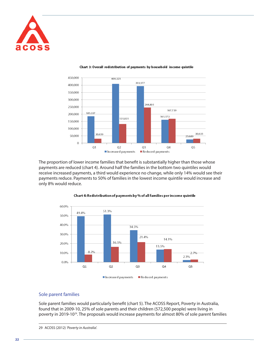



#### Chart 3: Overall redistribution of payments by household income quintile

The proportion of lower income families that benefit is substantially higher than those whose payments are reduced (chart 4). Around half the families in the bottom two quintiles would receive increased payments, a third would experience no change, while only 14% would see their payments reduce. Payments to 50% of families in the lowest income quintile would increase and only 8% would reduce.



#### Chart 4: Redistribution of payments by % of all families per income quintile

#### Sole parent families

Sole parent families would particularly benefit (chart 5). The ACOSS Report, Poverty in Australia, found that in 2009-10, 25% of sole parents and their children (572,500 people) were living in poverty in 2019-1029. The proposals would increase payments for almost 80% of sole parent families

<sup>29</sup> ACOSS (2012) *'Poverty in Australia*'.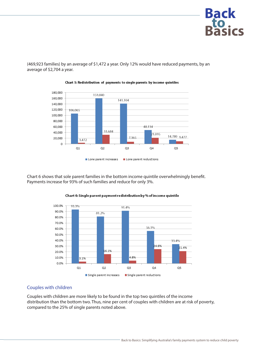

(469,923 families) by an average of \$1,472 a year. Only 12% would have reduced payments, by an average of \$2,704 a year.



#### Chart 5: Redistribution of payments to single parents by income quintiles

Chart 6 shows that sole parent families in the bottom income quintile overwhelmingly benefit. Payments increase for 93% of such families and reduce for only 3%.



#### Chart 6: Single parent payment redistribution by % of income quintile

## Couples with children

Couples with children are more likely to be found in the top two quintiles of the income distribution than the bottom two. Thus, nine per cent of couples with children are at risk of poverty, compared to the 25% of single parents noted above.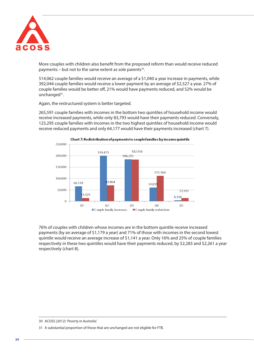

More couples with children also benefit from the proposed reform than would receive reduced payments – but not to the same extent as sole parents $30$ .

514,062 couple families would receive an average of a \$1,040 a year increase in payments, while 392,044 couple families would receive a lower payment by an average of \$2,527 a year. 27% of couple families would be better off, 21% would have payments reduced, and 52% would be unchanged<sup>31</sup>.

Again, the restructured system is better targeted.

265,591 couple families with incomes in the bottom two quintiles of household income would receive increased payments, while only 83,793 would have their payments reduced. Conversely, 125,295 couple families with incomes in the two highest quintiles of household income would receive reduced payments and only 64,177 would have their payments increased (chart 7).



76% of couples with children whose incomes are in the bottom quintile receive increased payments (by an average of \$1,179 a year) and 71% of those with incomes in the second lowest quintile would receive an average increase of \$1,141 a year. Only 16% and 25% of couple families respectively in these two quintiles would have their payments reduced, by \$2,283 and \$2,261 a year respectively (chart 8).

<sup>30</sup> ACOSS (2012) *'Poverty in Australia*'.

<sup>31</sup> A substantial proportion of those that are unchanged are not eligible for FTB.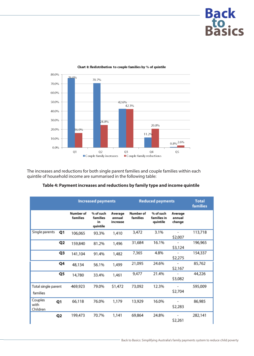



#### Chart 8: Redistribution to couple families by % of quintile

The increases and reductions for both single parent families and couple families within each quintile of household income are summarised in the following table:

|                                 |    | <b>Increased payments</b> |                                         |                               | <b>Reduced payments</b> | <b>Total</b><br><b>families</b>      |                                     |         |
|---------------------------------|----|---------------------------|-----------------------------------------|-------------------------------|-------------------------|--------------------------------------|-------------------------------------|---------|
|                                 |    | Number of<br>families     | % of such<br>families<br>in<br>quintile | Average<br>annual<br>increase | Number of<br>families   | % of such<br>families in<br>quintile | Average<br>annual<br>change         |         |
| Single parents                  | Q1 | 106,065                   | 93.3%                                   | 1,410                         | 3,472                   | 3.1%                                 | $\overline{\phantom{a}}$<br>\$2,007 | 113,718 |
|                                 | Q2 | 159,840                   | 81.2%                                   | 1,496                         | 31,684                  | 16.1%                                | \$3,124                             | 196,965 |
|                                 | Q3 | 141,104                   | 91.4%                                   | 1,482                         | 7,365                   | 4.8%                                 | \$2,275                             | 154,337 |
|                                 | Q4 | 48,134                    | 56.1%                                   | 1,499                         | 21,095                  | 24.6%                                | \$2,167                             | 85,762  |
|                                 | Q5 | 14,780                    | 33.4%                                   | 1,461                         | 9,477                   | 21.4%                                | \$3,082                             | 44,226  |
| Total single parent<br>families |    | 469,923                   | 79.0%                                   | \$1,472                       | 73,092                  | 12.3%                                | \$2,704                             | 595,009 |
| Couples<br>with<br>Children     | Q1 | 66,118                    | 76.0%                                   | 1,179                         | 13,929                  | 16.0%                                | \$2,283                             | 86,985  |
|                                 | Q2 | 199,473                   | 70.7%                                   | 1,141                         | 69,864                  | 24.8%                                | \$2,261                             | 282,141 |

#### **Table 4: Payment increases and reductions by family type and income quintile**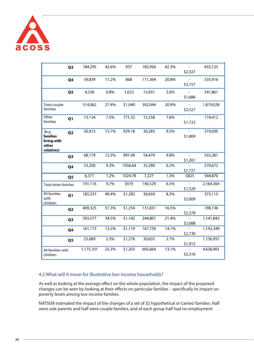

|                                                         | Q3             | 184,295   | 42.6% | 937     | 182,956 | 42.3% | \$2,327 | 432,125   |
|---------------------------------------------------------|----------------|-----------|-------|---------|---------|-------|---------|-----------|
|                                                         | Q4             | 59,839    | 11.2% | 868     | 111,364 | 20.8% | \$3,157 | 535,916   |
|                                                         | Q5             | 4,338     | 0.8%  | 1,023   | 13,931  | 2.6%  | \$1,686 | 541,861   |
| Total couple<br>families                                |                | 514,062   | 27.4% | \$1,040 | 392,044 | 20.9% | \$2,527 | 1,879,028 |
| Other<br>families                                       | Q1             | 13,154    | 7.5%  | 771.32  | 13,258  | 7.6%  | \$1,722 | 174,412   |
| (e.g.<br>families<br>living with<br>other<br>relatives) | Q <sub>2</sub> | 50,013    | 15.7% | 929.18  | 30,283  | 9.5%  | \$1,869 | 319,030   |
|                                                         | Q3             | 68,179    | 12.3% | 991.49  | 54,479  | 9.8%  | \$1,261 | 555,381   |
|                                                         | Q4             | 53,200    | 9.3%  | 1056.64 | 35,280  | 6.2%  | \$1,721 | 570,672   |
|                                                         | Q5             | 6,571     | 1.2%  | 1024.78 | 7,227   | 1.3%  | $-5825$ | 544,870   |
| Total other families                                    |                | 191,116   | 9.7%  | \$979   | 140,529 | 6.5%  | \$1,529 | 2,164,364 |
| All families<br>with<br>children                        | Q1             | 185,337   | 49.4% | \$1,282 | 30,659  | 8.2%  | \$2,009 | 375,115   |
|                                                         | Q2             | 409,325   | 51.3% | \$1,254 | 131,831 | 16.5% | \$2,378 | 798,136   |
|                                                         | Q3             | 393,577   | 34.5% | \$1,142 | 244,801 | 21.4% | \$2,088 | 1,141,843 |
|                                                         | Q4             | 161,173   | 13.5% | \$1,119 | 167,739 | 14.1% | \$2,730 | 1,192,349 |
|                                                         | Q5             | 25,689    | 2.3%  | \$1,276 | 30,635  | 2.7%  | \$1,915 | 1,130,957 |
| All families with<br>children                           |                | 1,175,101 | 25.3% | \$1,203 | 605,664 | 13.1% | \$2,316 | 4,638,401 |

# 4.2 What will it mean for illustrative low income households?

As well as looking at the average effect on the whole population, the impact of the proposed changes can be seen by looking at their effects on particular families – specifically its impact on poverty levels among low income families.

NATSEM estimated the impact of the changes of a set of 32 hypothetical or 'cameo' families. Half were sole parents and half were couple families, and of each group half had no employment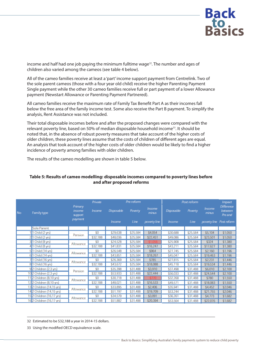# **Back** to<br>**Basics**

income and half had one job paying the minimum fulltime wage<sup>32</sup>. The number and ages of children also varied among the cameos (see table 4 below).

All of the cameo families receive at least a 'part' income support payment from Centrelink. Two of the sole parent cameos (those with a four year old child) receive the higher Parenting Payment Single payment while the other 30 cameo families receive full or part payment of a lower Allowance payment (Newstart Allowance or Parenting Payment Partnered).

All cameo families receive the maximum rate of Family Tax Benefit Part A as their incomes fall below the free area of the family income test. Some also receive the Part B payment. To simplify the analysis, Rent Assistance was not included.

Their total disposable incomes before and after the proposed changes were compared with the relevant poverty line, based on 50% of median disposable household income<sup>33</sup>. It should be noted that, in the absence of robust poverty measures that take account of the higher costs of older children, these poverty lines assume that the costs of children of different ages are equal. An analysis that took account of the higher costs of older children would be likely to find a higher incidence of poverty among families with older children.

The results of the cameo modelling are shown in table 5 below.

# **Table 5: Results of cameo modelling: disposable incomes compared to poverty lines before and after proposed reforms**

|           |                           |                              | Private  | Pre reform        |          |                 | Post reform   |          |                 | Impact                                  |
|-----------|---------------------------|------------------------------|----------|-------------------|----------|-----------------|---------------|----------|-----------------|-----------------------------------------|
| <b>No</b> | Family type               | Primary<br>income<br>support | Income   | <b>Disposable</b> | Poverty  | Income<br>minus | Disposable    | Poverty  | Income<br>minus | <b>Difference</b><br>between<br>Pre and |
|           |                           | payment                      |          | Income            | Line     | poverty line    | <b>Income</b> | Line     |                 | poverty line Post reform                |
|           | Sole Parent               |                              |          |                   |          |                 |               |          |                 |                                         |
|           | 1 1 Child (2 yrs)         | Pension                      | \$0      | \$29,638          | \$25,584 | \$4,054         | \$30,688      | \$25,584 | \$5,104         | \$1,050                                 |
|           | 2 1 Child (2 yrs)         |                              | \$32,188 | \$48,036          | \$25,584 | \$22,451        | \$49,086      | \$25,584 | \$23,501        | \$1,050                                 |
|           | 3 1 Child (8 yrs)         | Allowance                    | \$0      | \$24,528          | \$25,584 |                 | \$25,908      | \$25,584 | \$324           | \$1,380                                 |
|           | 4 1 Child (8 yrs)         |                              | \$32,188 | \$41,831          | \$25,584 | \$16,247        | \$43,211      | \$25,584 | \$17,627        | \$1,380                                 |
|           | 5 1 Child (14 yrs)        | Allowance                    | \$0      | \$26,548          | \$25,584 | \$964           | \$27,745      | \$25,584 | \$2,160         | \$1,196                                 |
|           | 61 Child (14 yrs)         |                              | \$32,188 | \$43,851          | \$25,584 | \$18,267        | \$45,047      | \$25,584 | \$19,463        | \$1,196                                 |
|           | 7 1 Child (16 yrs)        | Allowance                    | \$0      | \$26,369          | \$25,584 | \$785           | \$27,815      | \$25,584 | \$2,231         | \$1,446                                 |
|           | 81 Child (16 yrs)         |                              | \$32,188 | \$43,672          | \$25,584 | \$18,088        | \$45,118      | \$25,584 | \$19,534        | \$1,446                                 |
|           | 9 2 Children (2,3 yrs)    |                              | \$0      | \$35,398          | \$31,488 | \$3,910         | \$37,498      | \$31,488 | \$6,010         | \$2,100                                 |
|           | 10 2 Children (2,3 yrs)   | Pension                      | \$32,188 | \$53,933          | \$31,488 | \$22,444        | \$56,033      | \$31,488 | \$24,544        | \$2,100                                 |
|           | 11 2 Children (8,10 yrs)  | Allowance                    | \$0      | \$30,718          | \$31,488 | -\$770          | \$32,268      | \$31,488 | \$780           | \$1,550                                 |
|           | 12 2 Children (8,10 yrs)  |                              | \$32,188 | \$48,021          | \$31,488 | \$16,533        | \$49,571      | \$31,488 | \$18,083        | \$1,550                                 |
|           | 13 2 Children (14,15 yrs) |                              | \$0      | \$33,895          | \$31,488 | \$2,406         | \$35,941      | \$31,488 | \$4,452         | \$2,046                                 |
|           | 14 2 Children (14,15 yrs) | Allowance                    | \$32,188 | \$51,197          | \$31,488 | \$19,709        | \$53,244      | \$31,488 | \$21,755        | \$2,046                                 |
|           | 15 2 Children (16,17 yrs) | Allowance                    | \$0      | \$34,579          | \$31,488 | \$3,091         | \$36,261      | \$31,488 | \$4,773         | \$1,682                                 |
|           | 16 2 Children (16,17 yrs) |                              | \$32,188 | \$51,882          | \$31,488 | \$20,394        | \$53,564      | \$31,488 | \$22,076        | \$1,682                                 |

32 Estimated to be \$32,188 a year in 2014-15 dollars.

33 Using the modified OECD equivalence scale.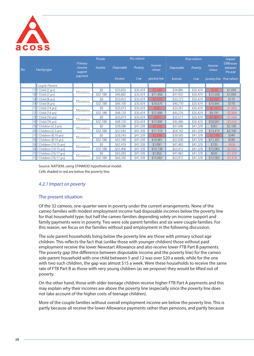

|           |                           |                              | Private  | Pre reform |                |                 | Post reform   | Impact   |                          |                                         |
|-----------|---------------------------|------------------------------|----------|------------|----------------|-----------------|---------------|----------|--------------------------|-----------------------------------------|
| <b>No</b> | Family type               | Primary<br>income<br>support | Income   | Disposable | <b>Poverty</b> | Income<br>minus | Disposable    | Poverty  | Income<br>minus          | <b>Difference</b><br>between<br>Pre and |
|           |                           | payment                      |          | Income     | Line           | poverty line    | <b>Income</b> | Line     | poverty line Post reform |                                         |
|           | Couple Parent             |                              |          |            |                |                 |               |          |                          |                                         |
|           | 17 1 Child (2 yrs)        | Allowance                    | \$0      | \$33,835   | \$35,424       | \$1.589         | \$34,885      | \$35,424 | -\$539                   | \$1,050                                 |
|           | 18 1 Child (2 yrs)        |                              | \$32,188 | \$46,882   | \$35,424       | \$11,458        | \$47,932      | \$35,424 | \$12,508                 | \$1,050                                 |
|           | 19 1 Child (8 yrs)        |                              | \$0      | \$33,053   | \$35,424       |                 | \$33,223      | \$35,424 |                          | \$170                                   |
|           | 20 1 Child (8 yrs)        | Allowance                    | \$32,188 | \$46,100   | \$35,424       | \$10,675        | \$46,270      | \$35,424 | \$10,845                 | \$170                                   |
|           | 21 1 Child (14 yrs)       | Allowance                    | \$0      | \$35,073   | \$35,424       | $-$ \$351       | \$33,267      | \$35,424 | \$2.151                  | $-1,806$                                |
|           | 22 1 Child (14 yrs)       |                              | \$32,188 | \$48,120   | \$35,424       | \$12,695        | \$45,216      | \$35,424 | \$9,791                  | \$2,904                                 |
|           | 23 1 Child (16 yrs)       | Allowance                    | \$0      | \$35,073   | \$35,424       |                 | \$33,517      | \$35,424 | \$1.907                  | $-1,556$                                |
|           | 24 1 Child (16 yrs)       |                              | \$32,188 | \$48,120   | \$35,424       | \$12,695        | \$45,466      | \$35,424 | \$10,041                 | \$2,654                                 |
|           | 25 2 Children (2,3 yrs)   | Allowance                    | \$0      | \$39,596   | \$41,328       | -\$1.733        | \$41,696      | \$41,328 | \$367                    | \$2,100                                 |
|           | 26 2 Children (2,3 yrs)   |                              | \$32,188 | \$52,642   | \$41,328       | \$11,314        | \$54,742      | \$41,328 | \$13,414                 | \$2,100                                 |
|           | 27 2 Children (8,10 yrs)  | Allowance                    | \$0      | \$39,243   | \$41,328       | -\$2.086        | \$39,583      | \$41,328 | -\$1.746                 | \$340                                   |
|           | 28 2 Children (8,10 yrs)  |                              | \$32,188 | \$52,290   | \$41,328       | \$10,961        | \$52,630      | \$41,328 | \$11,301                 | \$340                                   |
|           | 29 2 Children (14,15 yrs) | Allowance                    | \$0      | \$42,419   | \$41,328       | \$1,091         | \$41,463      | \$41,328 | \$135                    | $-$ \$956                               |
|           | 30 2 Children (14,15 yrs) |                              | \$32,188 | \$55,466   | \$41,328       | \$14,138        | \$53,412      | \$41,328 | \$12,083                 | \$2,055                                 |
|           | 31 2 Children (16,17 yrs) | Allowance                    | \$0      | \$43,283   | \$41,328       | \$1,955         | \$41,963      | \$41,328 | \$635                    | $-$1,320$                               |
|           | 21 2 Children (16,17 yrs) |                              | \$32,188 | \$56,330   | \$41,328       | \$15,002        | \$53,912      | \$41,328 | \$12,583                 | \$2,419                                 |

Source: NATSEM, using STINMOD hypothetical model. Cells shaded in red are below the poverty line.

# *4.2.1 Impact on poverty*

# The present situation

Of the 32 cameos, one-quarter were in poverty under the current arrangements. None of the cameo families with modest employment income had disposable incomes below the poverty line for that household type; but half the cameo families depending solely on income support and family payments were in poverty. Two were sole parent families and six were couple families. For this reason, we focus on the families without paid employment in the following discussion.

The sole parent households living below the poverty line are those with primary school age children. This reflects the fact that (unlike those with younger children) those without paid employment receive the lower Newstart Allowance and also receive lower FTB Part B payments. The poverty gap (the difference between disposable income and the poverty line) for the cameo sole parent household with one child between 5 and 12 was over \$20 a week, while for the one with two such children, the gap was almost \$15 a week. Were these households to receive the same rate of FTB Part B as those with very young children (as we propose) they would be lifted out of poverty.

On the other hand, those with older teenage children receive higher FTB Part A payments and this may explain why their incomes are above the poverty line (especially since the poverty line does not take account of the higher costs of teenage children).

More of the couple families without overall employment income are below the poverty line. This is partly because all receive the lower Allowance payments rather than pensions, and partly because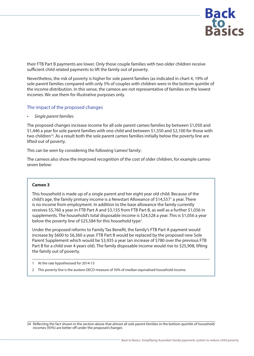

their FTB Part B payments are lower. Only those couple families with two older children receive sufficient child related payments to lift the family out of poverty.

Nevertheless, the risk of poverty is higher for sole parent families (as indicated in chart 4, 19% of sole parent families compared with only 5% of couples with children were in the bottom quintile of the income distribution. In this sense, the cameos are not representative of families on the lowest incomes. We use them for illustrative purposes only.

# The impact of the proposed changes

#### *• Single parent families*

The proposed changes increase income for all sole parent cameo families by between \$1,050 and \$1,446 a year for sole parent families with one child and between \$1,550 and \$2,100 for those with two children<sup>34</sup>. As a result both the sole parent cameo families initially below the poverty line are lifted out of poverty.

This can be seen by considering the following 'cameo' family:

The cameos also show the improved recognition of the cost of older children, for example cameo seven below:

#### **Cameo 3**

This household is made up of a single parent and her eight year old child. Because of the child's age, the family primary income is a Newstart Allowance of \$14,557<sup>1</sup> a year. There is no income from employment. In addition to the base allowance the family currently receives \$5,760 a year in FTB Part A and \$3,155 from FTB Part B, as well as a further \$1,056 in supplements. The household's total disposable income is \$24,528 a year. This is \$1,056 a year below the poverty line of \$25,584 for this household type<sup>2</sup>.

Under the proposed reforms to Family Tax Benefit, the family's FTB Part A payment would increase by \$600 to \$6,360 a year. FTB Part B would be replaced by the proposed new Sole Parent Supplement which would be \$3,935 a year (an increase of \$780 over the previous FTB Part B for a child over 4 years old). The family disposable income would rise to \$25,908, lifting the family out of poverty.

1 At the rate hypothesised for 2014-15

2 This poverty line is the austere OECD measure of 50% of median equivalised household income.

34 Reflecting the fact shown in the section above that almost all sole parent families in the bottom quintile of household incomes (93%) are better off under the proposed changes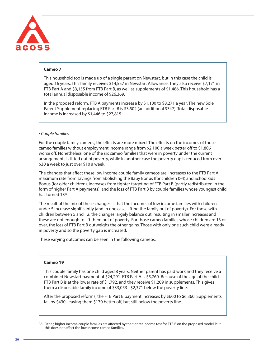

#### **Cameo 7**

This household too is made up of a single parent on Newstart, but in this case the child is aged 16 years. This family receives \$14,557 in Newstart Allowance. They also receive \$7,171 in FTB Part A and \$3,155 from FTB Part B, as well as supplements of \$1,486. This household has a total annual disposable income of \$26,369.

In the proposed reform, FTB A payments increase by \$1,100 to \$8,271 a year. The new Sole Parent Supplement replacing FTB Part B is \$3,502 (an additional \$347). Total disposable income is increased by \$1,446 to \$27,815.

#### • *Couple families*

For the couple family cameos, the effects are more mixed. The effects on the incomes of those cameo families without employment income range from \$2,100 a week better off to \$1,806 worse off. Nonetheless, one of the six cameo families that were in poverty under the current arrangements is lifted out of poverty, while in another case the poverty gap is reduced from over \$30 a week to just over \$10 a week.

The changes that affect these low income couple family cameos are: increases to the FTB Part A maximum rate from savings from abolishing the Baby Bonus (for children 0-4) and Schoolkids Bonus (for older children), increases from tighter targeting of FTB Part B (partly redistributed in the form of higher Part A payments), and the loss of FTB Part B by couple families whose youngest child has turned 13<sup>35</sup>.

The result of the mix of these changes is that the incomes of low income families with children under 5 increase significantly (and in one case, lifting the family out of poverty). For those with children between 5 and 12, the changes largely balance out, resulting in smaller increases and these are not enough to lift them out of poverty. For those cameo families whose children are 13 or over, the loss of FTB Part B outweighs the other gains. Those with only one such child were already in poverty and so the poverty gap is increased.

These varying outcomes can be seen in the following cameos:

#### **Cameo 19**

This couple family has one child aged 8 years. Neither parent has paid work and they receive a combined Newstart payment of \$24,291. FTB Part A is \$5,760. Because of the age of the child FTB Part B is at the lower rate of \$1,792, and they receive \$1,209 in supplements. This gives them a disposable family income of \$33,053 - \$2,371 below the poverty line.

After the proposed reforms, the FTB Part B payment increases by \$600 to \$6,360. Supplements fall by \$430, leaving them \$170 better off, but still below the poverty line.

<sup>35</sup> Other, higher income couple families are affected by the tighter income test for FTB B on the proposed model, but this does not affect the low income cameo families.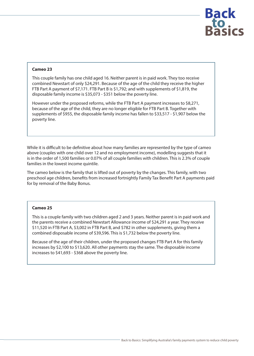

# **Cameo 23**

This couple family has one child aged 16. Neither parent is in paid work. They too receive combined Newstart of only \$24,291. Because of the age of the child they receive the higher FTB Part A payment of \$7,171. FTB Part B is \$1,792; and with supplements of \$1,819, the disposable family income is \$35,073 - \$351 below the poverty line.

However under the proposed reforms, while the FTB Part A payment increases to \$8,271, because of the age of the child, they are no longer eligible for FTB Part B. Together with supplements of \$955, the disposable family income has fallen to \$33,517 - \$1,907 below the poverty line.

While it is difficult to be definitive about how many families are represented by the type of cameo above (couples with one child over 12 and no employment income), modelling suggests that it is in the order of 1,500 families or 0.07% of all couple families with children. This is 2.3% of couple families in the lowest income quintile.

The cameo below is the family that is lifted out of poverty by the changes. This family, with two preschool age children, benefits from increased fortnightly Family Tax Benefit Part A payments paid for by removal of the Baby Bonus.

#### **Cameo 25**

This is a couple family with two children aged 2 and 3 years. Neither parent is in paid work and the parents receive a combined Newstart Allowance income of \$24,291 a year. They receive \$11,520 in FTB Part A, \$3,002 in FTB Part B, and \$782 in other supplements, giving them a combined disposable income of \$39,596. This is \$1,732 below the poverty line.

Because of the age of their children, under the proposed changes FTB Part A for this family increases by \$2,100 to \$13,620. All other payments stay the same. The disposable income increases to \$41,693 - \$368 above the poverty line.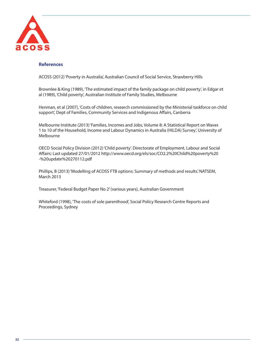

## **References**

ACOSS (2012) 'Poverty in Australia', Australian Council of Social Service, Strawberry Hills

Brownlee & King (1989), 'The estimated impact of the family package on child poverty', in Edgar et al (1989), 'Child poverty', Australian Institute of Family Studies, Melbourne

Henman, et al (2007), 'Costs of children, research commissioned by the Ministerial taskforce on child support', Dept of Families, Community Services and Indigenous Affairs, Canberra

Melbourne Institute (2013) 'Families, Incomes and Jobs, Volume 8: A Statistical Report on Waves 1 to 10 of the Household, Income and Labour Dynamics in Australia (HILDA) Survey', University of Melbourne

OECD Social Policy Division (2012) 'Child poverty'. Directorate of Employment, Labour and Social Affairs: Last updated 27/01/2012 http://www.oecd.org/els/soc/CO2.2%20Child%20poverty%20 -%20update%20270112.pdf

Phillips, B (2013) 'Modelling of ACOSS FTB options: Summary of methods and results.' NATSEM, March 2013

Treasurer, 'Federal Budget Paper No 2' (various years), Australian Government

Whiteford (1998), 'The costs of sole parenthood', Social Policy Research Centre Reports and Proceedings, Sydney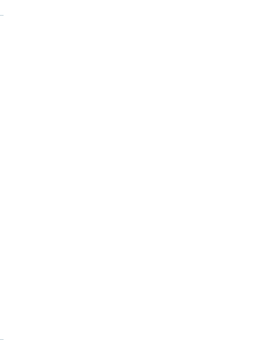